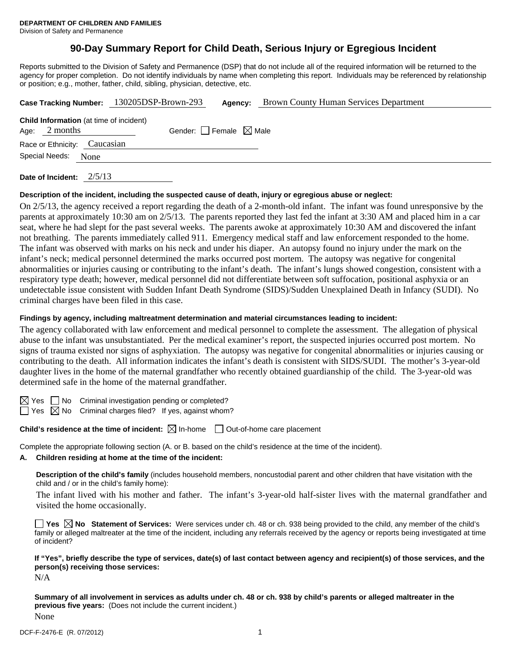# **90-Day Summary Report for Child Death, Serious Injury or Egregious Incident**

Reports submitted to the Division of Safety and Permanence (DSP) that do not include all of the required information will be returned to the agency for proper completion. Do not identify individuals by name when completing this report. Individuals may be referenced by relationship or position; e.g., mother, father, child, sibling, physician, detective, etc.

|                                                                   |      | Case Tracking Number: 130205DSP-Brown-293 | Agency:                         | <b>Brown County Human Services Department</b> |
|-------------------------------------------------------------------|------|-------------------------------------------|---------------------------------|-----------------------------------------------|
| <b>Child Information</b> (at time of incident)<br>Age: $2$ months |      |                                           | Gender: Female $\boxtimes$ Male |                                               |
| Race or Ethnicity: Caucasian                                      |      |                                           |                                 |                                               |
| Special Needs:                                                    | None |                                           |                                 |                                               |
|                                                                   |      |                                           |                                 |                                               |

**Date of Incident:** 2/5/13

### **Description of the incident, including the suspected cause of death, injury or egregious abuse or neglect:**

On 2/5/13, the agency received a report regarding the death of a 2-month-old infant. The infant was found unresponsive by the parents at approximately 10:30 am on 2/5/13. The parents reported they last fed the infant at 3:30 AM and placed him in a car seat, where he had slept for the past several weeks. The parents awoke at approximately 10:30 AM and discovered the infant not breathing. The parents immediately called 911. Emergency medical staff and law enforcement responded to the home. The infant was observed with marks on his neck and under his diaper. An autopsy found no injury under the mark on the infant's neck; medical personnel determined the marks occurred post mortem. The autopsy was negative for congenital abnormalities or injuries causing or contributing to the infant's death. The infant's lungs showed congestion, consistent with a respiratory type death; however, medical personnel did not differentiate between soft suffocation, positional asphyxia or an undetectable issue consistent with Sudden Infant Death Syndrome (SIDS)/Sudden Unexplained Death in Infancy (SUDI). No criminal charges have been filed in this case.

### **Findings by agency, including maltreatment determination and material circumstances leading to incident:**

The agency collaborated with law enforcement and medical personnel to complete the assessment. The allegation of physical abuse to the infant was unsubstantiated. Per the medical examiner's report, the suspected injuries occurred post mortem. No signs of trauma existed nor signs of asphyxiation. The autopsy was negative for congenital abnormalities or injuries causing or contributing to the death. All information indicates the infant's death is consistent with SIDS/SUDI. The mother's 3-year-old daughter lives in the home of the maternal grandfather who recently obtained guardianship of the child. The 3-year-old was determined safe in the home of the maternal grandfather.

 $\boxtimes$  Yes  $\Box$  No Criminal investigation pending or completed?

 $\Box$  Yes  $\boxtimes$  No Criminal charges filed? If yes, against whom?

# **Child's residence at the time of incident:**  $\boxtimes$  In-home  $\Box$  Out-of-home care placement

Complete the appropriate following section (A. or B. based on the child's residence at the time of the incident).

# **A. Children residing at home at the time of the incident:**

**Description of the child's family** (includes household members, noncustodial parent and other children that have visitation with the child and / or in the child's family home):

 The infant lived with his mother and father. The infant's 3-year-old half-sister lives with the maternal grandfather and visited the home occasionally.

■ Yes **No** Statement of Services: Were services under ch. 48 or ch. 938 being provided to the child, any member of the child's family or alleged maltreater at the time of the incident, including any referrals received by the agency or reports being investigated at time of incident?

**If "Yes", briefly describe the type of services, date(s) of last contact between agency and recipient(s) of those services, and the person(s) receiving those services:** 

N/A

**Summary of all involvement in services as adults under ch. 48 or ch. 938 by child's parents or alleged maltreater in the previous five years:** (Does not include the current incident.) None